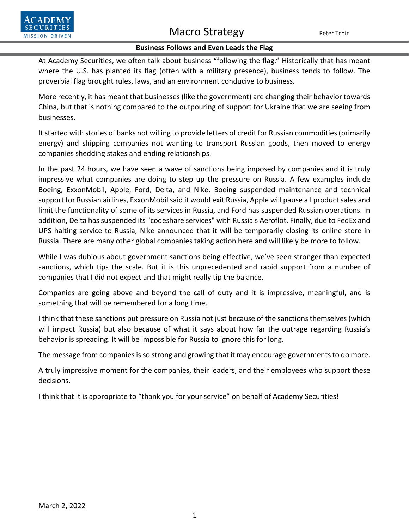

## Macro Strategy Peter Tchir

## **Business Follows and Even Leads the Flag**

At Academy Securities, we often talk about business "following the flag." Historically that has meant where the U.S. has planted its flag (often with a military presence), business tends to follow. The proverbial flag brought rules, laws, and an environment conducive to business.

More recently, it has meant that businesses (like the government) are changing their behavior towards China, but that is nothing compared to the outpouring of support for Ukraine that we are seeing from businesses.

It started with stories of banks not willing to provide letters of credit for Russian commodities (primarily energy) and shipping companies not wanting to transport Russian goods, then moved to energy companies shedding stakes and ending relationships.

In the past 24 hours, we have seen a wave of sanctions being imposed by companies and it is truly impressive what companies are doing to step up the pressure on Russia. A few examples include Boeing, ExxonMobil, Apple, Ford, Delta, and Nike. Boeing suspended maintenance and technical support for Russian airlines, ExxonMobil said it would exit Russia, Apple will pause all product sales and limit the functionality of some of its services in Russia, and Ford has suspended Russian operations. In addition, Delta has suspended its "codeshare services" with Russia's Aeroflot. Finally, due to FedEx and UPS halting service to Russia, Nike announced that it will be temporarily closing its online store in Russia. There are many other global companies taking action here and will likely be more to follow.

While I was dubious about government sanctions being effective, we've seen stronger than expected sanctions, which tips the scale. But it is this unprecedented and rapid support from a number of companies that I did not expect and that might really tip the balance.

Companies are going above and beyond the call of duty and it is impressive, meaningful, and is something that will be remembered for a long time.

I think that these sanctions put pressure on Russia not just because of the sanctions themselves (which will impact Russia) but also because of what it says about how far the outrage regarding Russia's behavior is spreading. It will be impossible for Russia to ignore this for long.

The message from companies is so strong and growing that it may encourage governments to do more.

A truly impressive moment for the companies, their leaders, and their employees who support these decisions.

I think that it is appropriate to "thank you for your service" on behalf of Academy Securities!